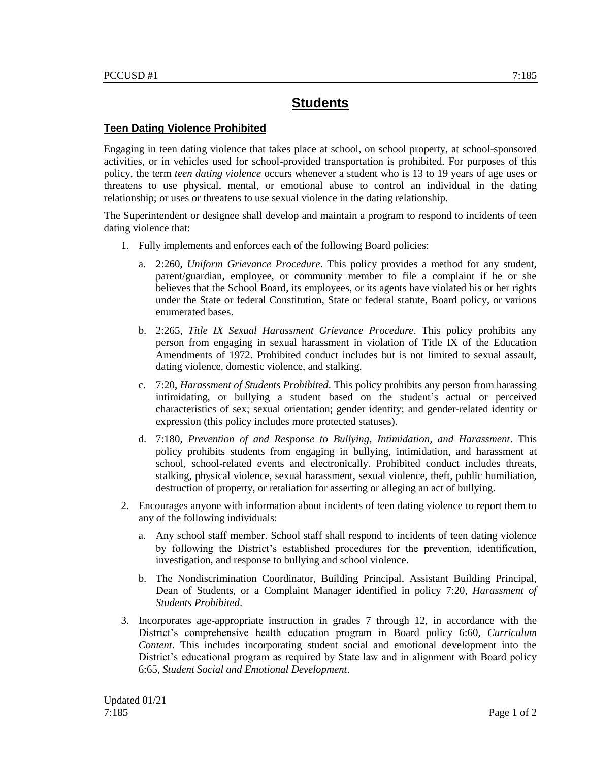## **Students**

## **Teen Dating Violence Prohibited**

Engaging in teen dating violence that takes place at school, on school property, at school-sponsored activities, or in vehicles used for school-provided transportation is prohibited. For purposes of this policy, the term *teen dating violence* occurs whenever a student who is 13 to 19 years of age uses or threatens to use physical, mental, or emotional abuse to control an individual in the dating relationship; or uses or threatens to use sexual violence in the dating relationship.

The Superintendent or designee shall develop and maintain a program to respond to incidents of teen dating violence that:

- 1. Fully implements and enforces each of the following Board policies:
	- a. 2:260, *Uniform Grievance Procedure*. This policy provides a method for any student, parent/guardian, employee, or community member to file a complaint if he or she believes that the School Board, its employees, or its agents have violated his or her rights under the State or federal Constitution, State or federal statute, Board policy, or various enumerated bases.
	- b. 2:265, *Title IX Sexual Harassment Grievance Procedure*. This policy prohibits any person from engaging in sexual harassment in violation of Title IX of the Education Amendments of 1972. Prohibited conduct includes but is not limited to sexual assault, dating violence, domestic violence, and stalking.
	- c. 7:20, *Harassment of Students Prohibited*. This policy prohibits any person from harassing intimidating, or bullying a student based on the student's actual or perceived characteristics of sex; sexual orientation; gender identity; and gender-related identity or expression (this policy includes more protected statuses).
	- d. 7:180, *Prevention of and Response to Bullying, Intimidation, and Harassment*. This policy prohibits students from engaging in bullying, intimidation, and harassment at school, school-related events and electronically. Prohibited conduct includes threats, stalking, physical violence, sexual harassment, sexual violence, theft, public humiliation, destruction of property, or retaliation for asserting or alleging an act of bullying.
- 2. Encourages anyone with information about incidents of teen dating violence to report them to any of the following individuals:
	- a. Any school staff member. School staff shall respond to incidents of teen dating violence by following the District's established procedures for the prevention, identification, investigation, and response to bullying and school violence.
	- b. The Nondiscrimination Coordinator, Building Principal, Assistant Building Principal, Dean of Students, or a Complaint Manager identified in policy 7:20, *Harassment of Students Prohibited*.
- 3. Incorporates age-appropriate instruction in grades 7 through 12, in accordance with the District's comprehensive health education program in Board policy 6:60, *Curriculum Content*. This includes incorporating student social and emotional development into the District's educational program as required by State law and in alignment with Board policy 6:65, *Student Social and Emotional Development*.